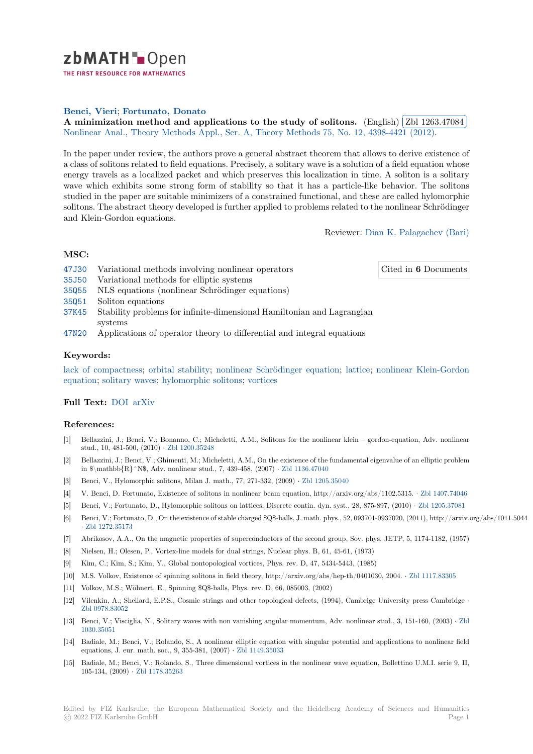

THE FIRST RESOURCE FOR MATHEMATICS

# **Benci, Vieri**; **Fortunato, Donato**

**[A](https://zbmath.org/)** minimization method and applications to the study of solitons. (English) **Zbl** 1263.47084 Nonlinear Anal., Theory Methods Appl., Ser. A, Theory Methods 75, No. 12, 4398-4421 (2012). Ĭ. Į.

[In the paper u](https://zbmath.org/authors/?q=ai:benci.vieri)[nder review, the author](https://zbmath.org/authors/?q=ai:fortunato.donato)s prove a general abstract theorem that allows to derive existence of [a class of solitons related to field equations. Precisely, a solitary wave is a solu](https://zbmath.org/1263.47084)tion of a fie[ld equation whose](https://zbmath.org/1263.47084) [energy travels as a localized packet and which preserves this local](https://zbmath.org/journals/?q=se:605)[ization in time. A soliton is a](https://zbmath.org/?q=in:302849) solitary wave which exhibits some strong form of stability so that it has a particle-like behavior. The solitons studied in the paper are suitable minimizers of a constrained functional, and these are called hylomorphic solitons. The abstract theory developed is further applied to problems related to the nonlinear Schrödinger and Klein-Gordon equations.

Reviewer: Dian K. Palagachev (Bari)

### **MSC:**

- 47J30 Variational methods involving nonlinear operators
- Cited in **6** [Documents](https://zbmath.org/authors/?q=palagachev.dian-k)

- 35J50 Variational methods for elliptic systems
- 35Q55 NLS equations (nonlinear Schrödinger equations)
- 35Q51 Soliton equations
- [37K45](https://zbmath.org/classification/?q=cc:47J30) Stability problems for infinite-dimensional Hamiltonian and Lagrangian systems
- [47N20](https://zbmath.org/classification/?q=cc:35Q55) Applications of operator theory to differential and integral equations

### **[Keyw](https://zbmath.org/classification/?q=cc:37K45)ords:**

lack of compactness; orbital stability; nonlinear Schrödinger equation; lattice; nonlinear Klein-Gordon [equati](https://zbmath.org/classification/?q=cc:47N20)on; solitary waves; hylomorphic solitons; vortices

## **Full Text:** DOI arXiv

#### **[Referen](https://zbmath.org/?q=ut:nonlinear+Klein-Gordon+equation)[ces:](https://zbmath.org/?q=ut:solitary+waves)**

- [1] Bellazzini, J.; Benci, V.; Bonanno, C.; Micheletti, A.M., Solitons for the nonlinear klein gordon-equation, Adv. nonlinear stud., 10, [481-5](https://dx.doi.org/10.1016/j.na.2012.03.012)[00, \(2010](https://arxiv.org/abs/1111.1888)) *·* Zbl 1200.35248
- [2] Bellazzini, J.; Benci, V.; Ghimenti, M.; Micheletti, A.M., On the existence of the fundamental eigenvalue of an elliptic problem in \$\mathbb{R}^N\$, Adv. nonlinear stud., 7, 439-458, (2007) *·* Zbl 1136.47040
- [3] Benci, V., Hylomorphic solitons, Milan J. math., 77, 271-332, (2009) *·* Zbl 1205.35040
- [4] V. Benci, D. Fortunato, Ex[istence of solito](https://zbmath.org/1200.35248)ns in nonlinear beam equation, http://arxiv.org/abs/1102.5315. *·* Zbl 1407.74046
- [5] Benci, V.; Fortunato, D., Hylomorphic solitons on lattices, Discrete contin. dyn. syst., 28, 875-897, (2010) *·* Zbl 1205.37081
- [6] Benci, V.; Fortunato, D., On the existence of stable charged \$Q\$-[balls, J. math. ph](https://zbmath.org/1136.47040)[ys., 52](https://zbmath.org/1205.35040), 093701-0937020, (2011), http://arxiv.org/abs/1011.5044 *·* Zbl 1272.35173
- [7] Abrikosov, A.A., On the magnetic properties of superconductors of the second group, Sov. phys. JETP, 5, 1[174-1182, \(1957\)](https://zbmath.org/1407.74046)
- [8] Nielsen, H.; Olesen, P., Vortex-line models for dual strings, Nuclear phys. B, 61, 45-61, (1973)
- [9] Kim, C.; Kim, S.; Kim, Y., Global nontopological vortices, Phys. rev. D, 47, 5434-5443, (1985)
- [10] [M.S. Volkov, Exi](https://zbmath.org/1272.35173)stence of spinning solitons in field theory, http://arxiv.org/abs/hep-th/0401030, 2004. *·* Zbl 1117.83305
- [11] Volkov, M.S.; Wöhnert, E., Spinning \$Q\$-balls, Phys. rev. D, 66, 085003, (2002)
- [12] Vilenkin, A.; Shellard, E.P.S., Cosmic strings and other topological defects, (1994), Cambrige University press Cambridge *·* Zbl 0978.83052
- [13] Benci, V.; Visciglia, N., Solitary waves with non vanishing angular momentum, Adv. nonlinear stud., 3,1[51-160, \(2003\)](https://zbmath.org/1117.83305) *·* Zbl 1030.35051
- [14] Badiale, M.; Benci, V.; Rolando, S., A nonlinear elliptic equation with singular potential and applications to nonlinear field [equations, J. eu](https://zbmath.org/0978.83052)r. math. soc., 9, 355-381, (2007) *·* Zbl 1149.35033
- [15] Badiale, M.; Benci, V.; Rolando, S., Three dimensional vortices in the nonlinear wave equation, Bollettino U.M.I. serie9[, II,](https://zbmath.org/1030.35051) [105-134, \(2](https://zbmath.org/1030.35051)009) *·* Zbl 1178.35263